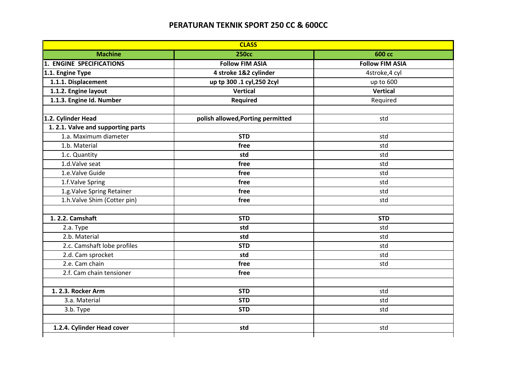## **PERATURAN TEKNIK SPORT 250 CC & 600CC**

| <b>CLASS</b>                      |                                   |                        |  |
|-----------------------------------|-----------------------------------|------------------------|--|
| <b>Machine</b>                    | <b>250cc</b>                      | <b>600 сс</b>          |  |
| <b>1. ENGINE SPECIFICATIONS</b>   | <b>Follow FIM ASIA</b>            | <b>Follow FIM ASIA</b> |  |
| 1.1. Engine Type                  | 4 stroke 1&2 cylinder             | 4stroke, 4 cyl         |  |
| 1.1.1. Displacement               | up tp 300 .1 cyl, 250 2cyl        | up to 600              |  |
| 1.1.2. Engine layout              | <b>Vertical</b>                   | <b>Vertical</b>        |  |
| 1.1.3. Engine Id. Number          | Required                          | Required               |  |
| 1.2. Cylinder Head                | polish allowed, Porting permitted | std                    |  |
| 1.2.1. Valve and supporting parts |                                   |                        |  |
| 1.a. Maximum diameter             | <b>STD</b>                        | std                    |  |
| 1.b. Material                     | free                              | std                    |  |
| 1.c. Quantity                     | std                               | std                    |  |
| 1.d.Valve seat                    | free                              | std                    |  |
| 1.e.Valve Guide                   | free                              | std                    |  |
| 1.f.Valve Spring                  | free                              | std                    |  |
| 1.g. Valve Spring Retainer        | free                              | std                    |  |
| 1.h.Valve Shim (Cotter pin)       | free                              | std                    |  |
| 1. 2.2. Camshaft                  | <b>STD</b>                        | <b>STD</b>             |  |
| 2.a. Type                         | std                               | std                    |  |
| 2.b. Material                     | std                               | std                    |  |
| 2.c. Camshaft lobe profiles       | <b>STD</b>                        | std                    |  |
| 2.d. Cam sprocket                 | std                               | std                    |  |
| 2.e. Cam chain                    | free                              | std                    |  |
| 2.f. Cam chain tensioner          | free                              |                        |  |
| 1. 2.3. Rocker Arm                | <b>STD</b>                        | std                    |  |
| 3.a. Material                     | <b>STD</b>                        | std                    |  |
| 3.b. Type                         | <b>STD</b>                        | std                    |  |
| 1.2.4. Cylinder Head cover        | std                               | std                    |  |
|                                   |                                   |                        |  |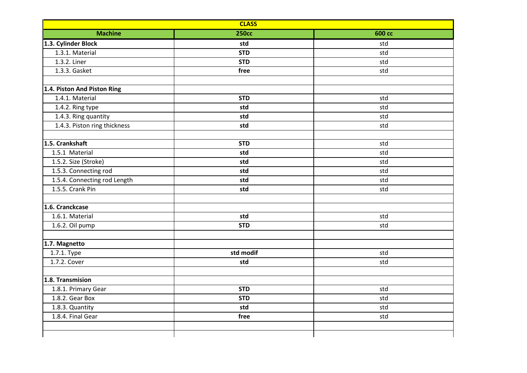| <b>CLASS</b>                 |              |               |  |
|------------------------------|--------------|---------------|--|
| <b>Machine</b>               | <b>250cc</b> | <b>600 сс</b> |  |
| 1.3. Cylinder Block          | std          | std           |  |
| 1.3.1. Material              | <b>STD</b>   | std           |  |
| 1.3.2. Liner                 | <b>STD</b>   | std           |  |
| 1.3.3. Gasket                | free         | std           |  |
|                              |              |               |  |
| 1.4. Piston And Piston Ring  |              |               |  |
| 1.4.1. Material              | <b>STD</b>   | std           |  |
| 1.4.2. Ring type             | std          | std           |  |
| 1.4.3. Ring quantity         | std          | std           |  |
| 1.4.3. Piston ring thickness | std          | std           |  |
|                              |              |               |  |
| 1.5. Crankshaft              | <b>STD</b>   | std           |  |
| 1.5.1 Material               | std          | std           |  |
| 1.5.2. Size (Stroke)         | std          | std           |  |
| 1.5.3. Connecting rod        | std          | std           |  |
| 1.5.4. Connecting rod Length | std          | std           |  |
| 1.5.5. Crank Pin             | std          | std           |  |
| 1.6. Cranckcase              |              |               |  |
| 1.6.1. Material              | std          | std           |  |
| 1.6.2. Oil pump              | <b>STD</b>   | std           |  |
| 1.7. Magnetto                |              |               |  |
| 1.7.1. Type                  | std modif    | std           |  |
| 1.7.2. Cover                 | std          | std           |  |
| 1.8. Transmision             |              |               |  |
| 1.8.1. Primary Gear          | <b>STD</b>   | std           |  |
| 1.8.2. Gear Box              | <b>STD</b>   | std           |  |
| 1.8.3. Quantity              | std          | std           |  |
| 1.8.4. Final Gear            | free         | std           |  |
|                              |              |               |  |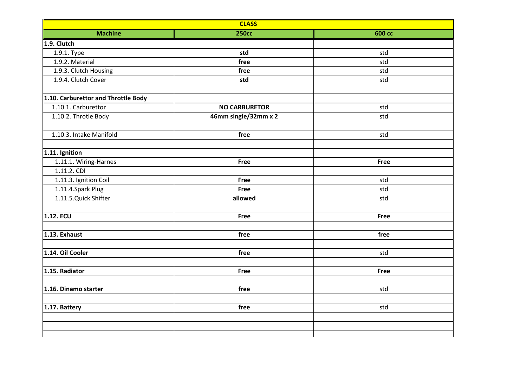| <b>CLASS</b>                        |                      |               |  |  |
|-------------------------------------|----------------------|---------------|--|--|
| <b>Machine</b>                      | <b>250сс</b>         | <b>600 сс</b> |  |  |
| 1.9. Clutch                         |                      |               |  |  |
| 1.9.1. Type                         | std                  | std           |  |  |
| 1.9.2. Material                     | free                 | std           |  |  |
| 1.9.3. Clutch Housing               | free                 | std           |  |  |
| 1.9.4. Clutch Cover                 | std                  | std           |  |  |
| 1.10. Carburettor and Throttle Body |                      |               |  |  |
| 1.10.1. Carburettor                 | <b>NO CARBURETOR</b> | std           |  |  |
| 1.10.2. Throtle Body                | 46mm single/32mm x 2 | std           |  |  |
|                                     |                      |               |  |  |
| 1.10.3. Intake Manifold             | free                 | std           |  |  |
|                                     |                      |               |  |  |
| 1.11. Ignition                      |                      |               |  |  |
| 1.11.1. Wiring-Harnes               | <b>Free</b>          | <b>Free</b>   |  |  |
| 1.11.2. CDI                         |                      |               |  |  |
| 1.11.3. Ignition Coil               | <b>Free</b>          | std           |  |  |
| 1.11.4.Spark Plug                   | <b>Free</b>          | std           |  |  |
| 1.11.5. Quick Shifter               | allowed              | std           |  |  |
| <b>1.12. ECU</b>                    | <b>Free</b>          | <b>Free</b>   |  |  |
|                                     |                      |               |  |  |
| 1.13. Exhaust                       | free                 | free          |  |  |
|                                     |                      |               |  |  |
| 1.14. Oil Cooler                    | free                 | std           |  |  |
|                                     |                      |               |  |  |
| 1.15. Radiator                      | <b>Free</b>          | <b>Free</b>   |  |  |
| 1.16. Dinamo starter                | free                 | std           |  |  |
|                                     |                      |               |  |  |
| 1.17. Battery                       | free                 | std           |  |  |
|                                     |                      |               |  |  |
|                                     |                      |               |  |  |
|                                     |                      |               |  |  |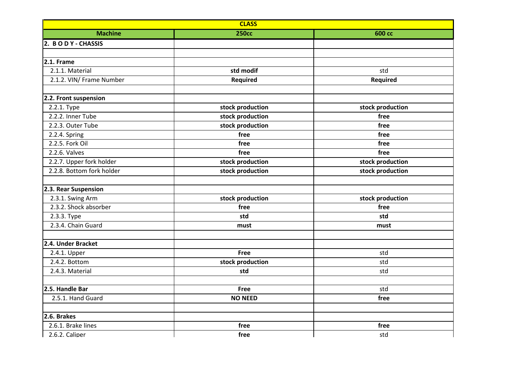| <b>CLASS</b>              |                  |                  |  |
|---------------------------|------------------|------------------|--|
| <b>Machine</b>            | <b>250cc</b>     | <b>600 сс</b>    |  |
| 2. BODY - CHASSIS         |                  |                  |  |
|                           |                  |                  |  |
| 2.1. Frame                |                  |                  |  |
| 2.1.1. Material           | std modif        | std              |  |
| 2.1.2. VIN/ Frame Number  | <b>Required</b>  | <b>Required</b>  |  |
|                           |                  |                  |  |
| 2.2. Front suspension     |                  |                  |  |
| 2.2.1. Type               | stock production | stock production |  |
| 2.2.2. Inner Tube         | stock production | free             |  |
| 2.2.3. Outer Tube         | stock production | free             |  |
| 2.2.4. Spring             | free             | free             |  |
| 2.2.5. Fork Oil           | free             | free             |  |
| 2.2.6. Valves             | free             | free             |  |
| 2.2.7. Upper fork holder  | stock production | stock production |  |
| 2.2.8. Bottom fork holder | stock production | stock production |  |
|                           |                  |                  |  |
| 2.3. Rear Suspension      |                  |                  |  |
| 2.3.1. Swing Arm          | stock production | stock production |  |
| 2.3.2. Shock absorber     | free             | free             |  |
| 2.3.3. Type               | std              | std              |  |
| 2.3.4. Chain Guard        | must             | must             |  |
|                           |                  |                  |  |
| 2.4. Under Bracket        |                  |                  |  |
| 2.4.1. Upper              | <b>Free</b>      | std              |  |
| 2.4.2. Bottom             | stock production | std              |  |
| 2.4.3. Material           | std              | std              |  |
| 2.5. Handle Bar           | <b>Free</b>      | std              |  |
| 2.5.1. Hand Guard         | <b>NO NEED</b>   |                  |  |
|                           |                  | free             |  |
| 2.6. Brakes               |                  |                  |  |
| 2.6.1. Brake lines        | free             | free             |  |
| 2.6.2. Caliper            | free             | std              |  |